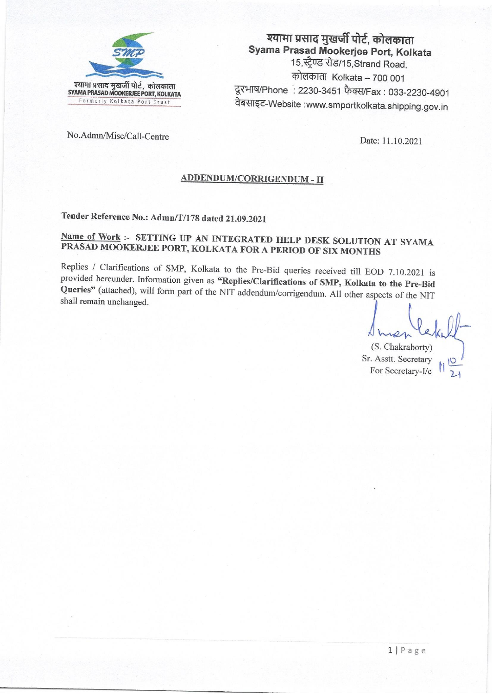

## श्यामा प्रसाद मुखर्जी पोर्ट, कोलकाता Syama Prasad Mookerjee Port, Kolkata 15, स्ट्रैण्ड रोड/15, Strand Road, कोलकाता Kolkata - 700 001 दूरभाष/Phone: 2230-3451 फैक्स/Fax: 033-2230-4901 वेबसाइट-Website :www.smportkolkata.shipping.gov.in

No.Admn/Misc/Call-Centre

Date: 11.10.2021

### ADDENDUM/CORRIGENDUM - II

Tender Reference No.: Admn/T/178 dated 21.09.2021

## Name of Work :- SETTING UP AN INTEGRATED HELP DESK SOLUTION AT SYAMA PRASAD MOOKERJEE PORT, KOLKATA FOR A PERIOD OF SIX MONTHS

Replies / Clarifications of SMP, Kolkata to the Pre-Bid queries received till EOD 7.10.2021 is provided hereunder. Information given as "Replies/Clarifications of SMP, Kolkata to the Pre-Bid Queries" (attached), will form part of the NIT addendum/corrigendum. All other aspects of the NIT shall remain unchanged.

(S. Chakraborty)

Sr. Asstt. Secretary For Secretary-I/c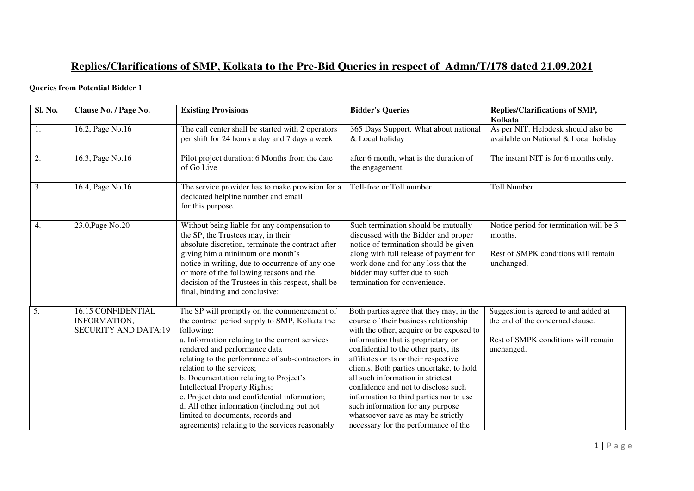# **Replies/Clarifications of SMP, Kolkata to the Pre-Bid Queries in respect of Admn/T/178 dated 21.09.2021**

### **Queries from Potential Bidder 1**

| Sl. No.          | Clause No. / Page No.                                                    | <b>Existing Provisions</b>                                                                                                                                                                                                                                                                                                                                                                                                                                                                                                                           | <b>Bidder's Queries</b>                                                                                                                                                                                                                                                                                                                                                                                                                                                                                                                   | Replies/Clarifications of SMP,<br>Kolkata                                                                                     |  |
|------------------|--------------------------------------------------------------------------|------------------------------------------------------------------------------------------------------------------------------------------------------------------------------------------------------------------------------------------------------------------------------------------------------------------------------------------------------------------------------------------------------------------------------------------------------------------------------------------------------------------------------------------------------|-------------------------------------------------------------------------------------------------------------------------------------------------------------------------------------------------------------------------------------------------------------------------------------------------------------------------------------------------------------------------------------------------------------------------------------------------------------------------------------------------------------------------------------------|-------------------------------------------------------------------------------------------------------------------------------|--|
| 1.               | 16.2, Page No.16                                                         | The call center shall be started with 2 operators<br>per shift for 24 hours a day and 7 days a week                                                                                                                                                                                                                                                                                                                                                                                                                                                  | 365 Days Support. What about national<br>& Local holiday                                                                                                                                                                                                                                                                                                                                                                                                                                                                                  | As per NIT. Helpdesk should also be<br>available on National & Local holiday                                                  |  |
| 2.               | 16.3, Page No.16                                                         | Pilot project duration: 6 Months from the date<br>of Go Live                                                                                                                                                                                                                                                                                                                                                                                                                                                                                         | after 6 month, what is the duration of<br>the engagement                                                                                                                                                                                                                                                                                                                                                                                                                                                                                  | The instant NIT is for 6 months only.                                                                                         |  |
| 3.               | 16.4, Page No.16                                                         | The service provider has to make provision for a<br>dedicated helpline number and email<br>for this purpose.                                                                                                                                                                                                                                                                                                                                                                                                                                         | Toll-free or Toll number                                                                                                                                                                                                                                                                                                                                                                                                                                                                                                                  | <b>Toll Number</b>                                                                                                            |  |
| $\overline{4}$ . | 23.0, Page No.20                                                         | Without being liable for any compensation to<br>the SP, the Trustees may, in their<br>absolute discretion, terminate the contract after<br>giving him a minimum one month's<br>notice in writing, due to occurrence of any one<br>or more of the following reasons and the<br>decision of the Trustees in this respect, shall be<br>final, binding and conclusive:                                                                                                                                                                                   | Such termination should be mutually<br>discussed with the Bidder and proper<br>notice of termination should be given<br>along with full release of payment for<br>work done and for any loss that the<br>bidder may suffer due to such<br>termination for convenience.                                                                                                                                                                                                                                                                    | Notice period for termination will be 3<br>months.<br>Rest of SMPK conditions will remain<br>unchanged.                       |  |
| 5.               | <b>16.15 CONFIDENTIAL</b><br>INFORMATION,<br><b>SECURITY AND DATA:19</b> | The SP will promptly on the commencement of<br>the contract period supply to SMP, Kolkata the<br>following:<br>a. Information relating to the current services<br>rendered and performance data<br>relating to the performance of sub-contractors in<br>relation to the services;<br>b. Documentation relating to Project's<br>Intellectual Property Rights;<br>c. Project data and confidential information;<br>d. All other information (including but not<br>limited to documents, records and<br>agreements) relating to the services reasonably | Both parties agree that they may, in the<br>course of their business relationship<br>with the other, acquire or be exposed to<br>information that is proprietary or<br>confidential to the other party, its<br>affiliates or its or their respective<br>clients. Both parties undertake, to hold<br>all such information in strictest<br>confidence and not to disclose such<br>information to third parties nor to use<br>such information for any purpose<br>whatsoever save as may be strictly<br>necessary for the performance of the | Suggestion is agreed to and added at<br>the end of the concerned clause.<br>Rest of SMPK conditions will remain<br>unchanged. |  |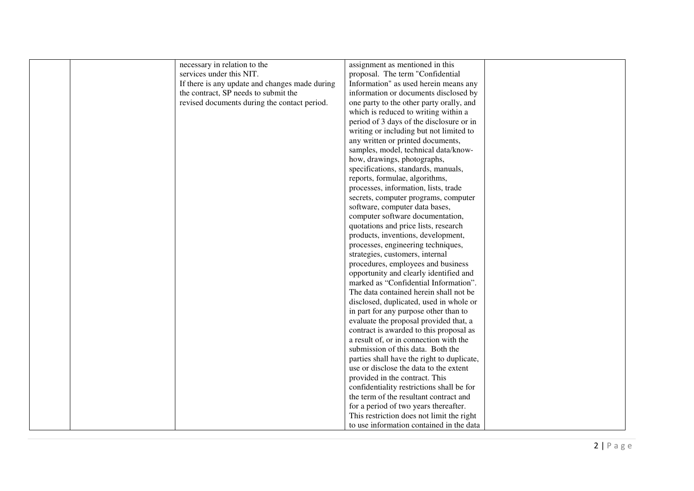| necessary in relation to the                   | assignment as mentioned in this            |  |
|------------------------------------------------|--------------------------------------------|--|
| services under this NIT.                       | proposal. The term "Confidential           |  |
| If there is any update and changes made during | Information" as used herein means any      |  |
| the contract, SP needs to submit the           | information or documents disclosed by      |  |
|                                                |                                            |  |
| revised documents during the contact period.   | one party to the other party orally, and   |  |
|                                                | which is reduced to writing within a       |  |
|                                                | period of 3 days of the disclosure or in   |  |
|                                                | writing or including but not limited to    |  |
|                                                | any written or printed documents,          |  |
|                                                | samples, model, technical data/know-       |  |
|                                                | how, drawings, photographs,                |  |
|                                                | specifications, standards, manuals,        |  |
|                                                | reports, formulae, algorithms,             |  |
|                                                | processes, information, lists, trade       |  |
|                                                | secrets, computer programs, computer       |  |
|                                                | software, computer data bases,             |  |
|                                                | computer software documentation,           |  |
|                                                | quotations and price lists, research       |  |
|                                                | products, inventions, development,         |  |
|                                                | processes, engineering techniques,         |  |
|                                                | strategies, customers, internal            |  |
|                                                | procedures, employees and business         |  |
|                                                | opportunity and clearly identified and     |  |
|                                                | marked as "Confidential Information".      |  |
|                                                | The data contained herein shall not be     |  |
|                                                | disclosed, duplicated, used in whole or    |  |
|                                                | in part for any purpose other than to      |  |
|                                                | evaluate the proposal provided that, a     |  |
|                                                | contract is awarded to this proposal as    |  |
|                                                | a result of, or in connection with the     |  |
|                                                | submission of this data. Both the          |  |
|                                                | parties shall have the right to duplicate, |  |
|                                                | use or disclose the data to the extent     |  |
|                                                | provided in the contract. This             |  |
|                                                | confidentiality restrictions shall be for  |  |
|                                                | the term of the resultant contract and     |  |
|                                                | for a period of two years thereafter.      |  |
|                                                | This restriction does not limit the right  |  |
|                                                | to use information contained in the data   |  |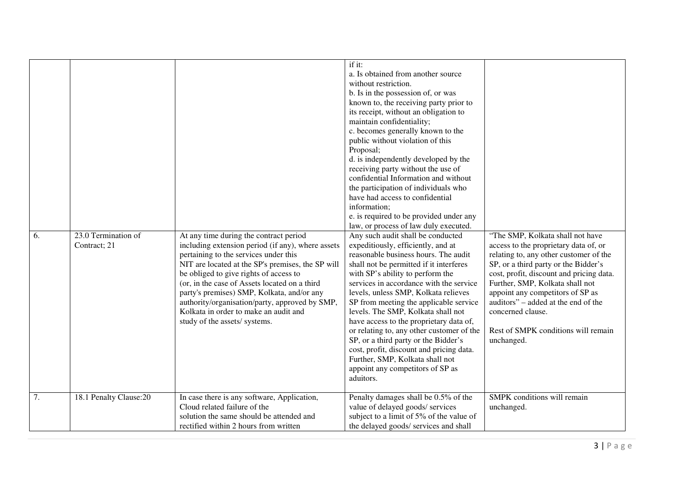| 6. | 23.0 Termination of<br>Contract; 21 | At any time during the contract period<br>including extension period (if any), where assets<br>pertaining to the services under this<br>NIT are located at the SP's premises, the SP will<br>be obliged to give rights of access to<br>(or, in the case of Assets located on a third<br>party's premises) SMP, Kolkata, and/or any<br>authority/organisation/party, approved by SMP,<br>Kolkata in order to make an audit and<br>study of the assets/ systems. | if it:<br>a. Is obtained from another source<br>without restriction.<br>b. Is in the possession of, or was<br>known to, the receiving party prior to<br>its receipt, without an obligation to<br>maintain confidentiality;<br>c. becomes generally known to the<br>public without violation of this<br>Proposal;<br>d. is independently developed by the<br>receiving party without the use of<br>confidential Information and without<br>the participation of individuals who<br>have had access to confidential<br>information;<br>e. is required to be provided under any<br>law, or process of law duly executed.<br>Any such audit shall be conducted<br>expeditiously, efficiently, and at<br>reasonable business hours. The audit<br>shall not be permitted if it interferes<br>with SP's ability to perform the<br>services in accordance with the service<br>levels, unless SMP, Kolkata relieves<br>SP from meeting the applicable service<br>levels. The SMP, Kolkata shall not<br>have access to the proprietary data of,<br>or relating to, any other customer of the<br>SP, or a third party or the Bidder's<br>cost, profit, discount and pricing data.<br>Further, SMP, Kolkata shall not<br>appoint any competitors of SP as<br>aduitors. | "The SMP, Kolkata shall not have<br>access to the proprietary data of, or<br>relating to, any other customer of the<br>SP, or a third party or the Bidder's<br>cost, profit, discount and pricing data.<br>Further, SMP, Kolkata shall not<br>appoint any competitors of SP as<br>auditors" – added at the end of the<br>concerned clause.<br>Rest of SMPK conditions will remain<br>unchanged. |
|----|-------------------------------------|----------------------------------------------------------------------------------------------------------------------------------------------------------------------------------------------------------------------------------------------------------------------------------------------------------------------------------------------------------------------------------------------------------------------------------------------------------------|------------------------------------------------------------------------------------------------------------------------------------------------------------------------------------------------------------------------------------------------------------------------------------------------------------------------------------------------------------------------------------------------------------------------------------------------------------------------------------------------------------------------------------------------------------------------------------------------------------------------------------------------------------------------------------------------------------------------------------------------------------------------------------------------------------------------------------------------------------------------------------------------------------------------------------------------------------------------------------------------------------------------------------------------------------------------------------------------------------------------------------------------------------------------------------------------------------------------------------------------------------|-------------------------------------------------------------------------------------------------------------------------------------------------------------------------------------------------------------------------------------------------------------------------------------------------------------------------------------------------------------------------------------------------|
| 7. | 18.1 Penalty Clause:20              | In case there is any software, Application,<br>Cloud related failure of the<br>solution the same should be attended and                                                                                                                                                                                                                                                                                                                                        | Penalty damages shall be 0.5% of the<br>value of delayed goods/ services<br>subject to a limit of 5% of the value of                                                                                                                                                                                                                                                                                                                                                                                                                                                                                                                                                                                                                                                                                                                                                                                                                                                                                                                                                                                                                                                                                                                                       | SMPK conditions will remain<br>unchanged.                                                                                                                                                                                                                                                                                                                                                       |
|    |                                     | rectified within 2 hours from written                                                                                                                                                                                                                                                                                                                                                                                                                          | the delayed goods/ services and shall                                                                                                                                                                                                                                                                                                                                                                                                                                                                                                                                                                                                                                                                                                                                                                                                                                                                                                                                                                                                                                                                                                                                                                                                                      |                                                                                                                                                                                                                                                                                                                                                                                                 |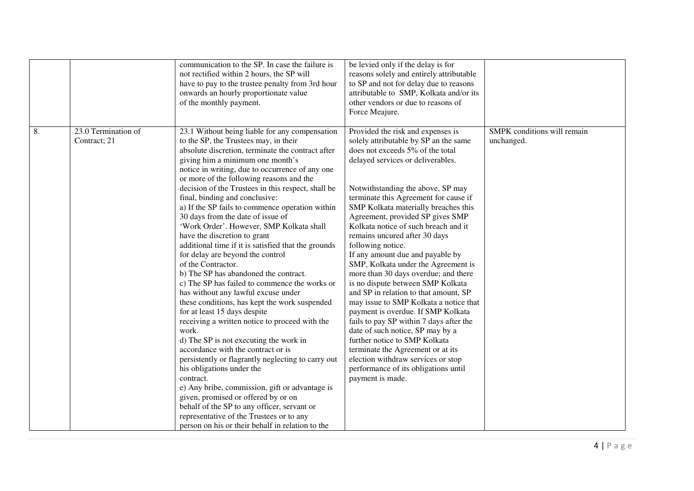|    |                                     | communication to the SP. In case the failure is<br>not rectified within 2 hours, the SP will<br>have to pay to the trustee penalty from 3rd hour<br>onwards an hourly proportionate value<br>of the monthly payment.                                                                                                                                                                                                                                                                                                                                                                                                                                                                                                                                                                                                                                                                                                                                                                                                                                                                                                                                                                                                                                                                                                                                              | be levied only if the delay is for<br>reasons solely and entirely attributable<br>to SP and not for delay due to reasons<br>attributable to SMP, Kolkata and/or its<br>other vendors or due to reasons of<br>Force Meajure.                                                                                                                                                                                                                                                                                                                                                                                                                                                                                                                                                                                                                                                                                                                         |                                           |
|----|-------------------------------------|-------------------------------------------------------------------------------------------------------------------------------------------------------------------------------------------------------------------------------------------------------------------------------------------------------------------------------------------------------------------------------------------------------------------------------------------------------------------------------------------------------------------------------------------------------------------------------------------------------------------------------------------------------------------------------------------------------------------------------------------------------------------------------------------------------------------------------------------------------------------------------------------------------------------------------------------------------------------------------------------------------------------------------------------------------------------------------------------------------------------------------------------------------------------------------------------------------------------------------------------------------------------------------------------------------------------------------------------------------------------|-----------------------------------------------------------------------------------------------------------------------------------------------------------------------------------------------------------------------------------------------------------------------------------------------------------------------------------------------------------------------------------------------------------------------------------------------------------------------------------------------------------------------------------------------------------------------------------------------------------------------------------------------------------------------------------------------------------------------------------------------------------------------------------------------------------------------------------------------------------------------------------------------------------------------------------------------------|-------------------------------------------|
| 8. | 23.0 Termination of<br>Contract; 21 | 23.1 Without being liable for any compensation<br>to the SP, the Trustees may, in their<br>absolute discretion, terminate the contract after<br>giving him a minimum one month's<br>notice in writing, due to occurrence of any one<br>or more of the following reasons and the<br>decision of the Trustees in this respect, shall be<br>final, binding and conclusive:<br>a) If the SP fails to commence operation within<br>30 days from the date of issue of<br>'Work Order'. However, SMP Kolkata shall<br>have the discretion to grant<br>additional time if it is satisfied that the grounds<br>for delay are beyond the control<br>of the Contractor.<br>b) The SP has abandoned the contract.<br>c) The SP has failed to commence the works or<br>has without any lawful excuse under<br>these conditions, has kept the work suspended<br>for at least 15 days despite<br>receiving a written notice to proceed with the<br>work.<br>d) The SP is not executing the work in<br>accordance with the contract or is<br>persistently or flagrantly neglecting to carry out<br>his obligations under the<br>contract.<br>e) Any bribe, commission, gift or advantage is<br>given, promised or offered by or on<br>behalf of the SP to any officer, servant or<br>representative of the Trustees or to any<br>person on his or their behalf in relation to the | Provided the risk and expenses is<br>solely attributable by SP an the same<br>does not exceeds 5% of the total<br>delayed services or deliverables.<br>Notwithstanding the above, SP may<br>terminate this Agreement for cause if<br>SMP Kolkata materially breaches this<br>Agreement, provided SP gives SMP<br>Kolkata notice of such breach and it<br>remains uncured after 30 days<br>following notice.<br>If any amount due and payable by<br>SMP, Kolkata under the Agreement is<br>more than 30 days overdue; and there<br>is no dispute between SMP Kolkata<br>and SP in relation to that amount, SP<br>may issue to SMP Kolkata a notice that<br>payment is overdue. If SMP Kolkata<br>fails to pay SP within 7 days after the<br>date of such notice, SP may by a<br>further notice to SMP Kolkata<br>terminate the Agreement or at its<br>election withdraw services or stop<br>performance of its obligations until<br>payment is made. | SMPK conditions will remain<br>unchanged. |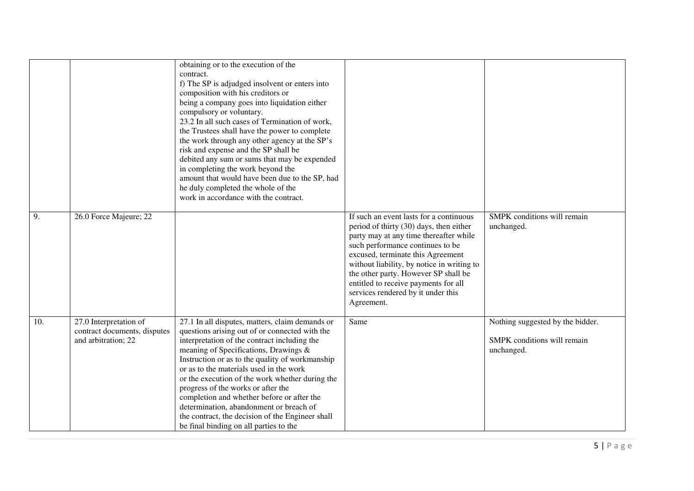|     |                                                                               | obtaining or to the execution of the<br>contract.<br>f) The SP is adjudged insolvent or enters into<br>composition with his creditors or<br>being a company goes into liquidation either<br>compulsory or voluntary.<br>23.2 In all such cases of Termination of work,<br>the Trustees shall have the power to complete<br>the work through any other agency at the SP's<br>risk and expense and the SP shall be<br>debited any sum or sums that may be expended<br>in completing the work beyond the<br>amount that would have been due to the SP, had<br>he duly completed the whole of the<br>work in accordance with the contract. |                                                                                                                                                                                                                                                                                                                                                                                         |                                                                               |
|-----|-------------------------------------------------------------------------------|----------------------------------------------------------------------------------------------------------------------------------------------------------------------------------------------------------------------------------------------------------------------------------------------------------------------------------------------------------------------------------------------------------------------------------------------------------------------------------------------------------------------------------------------------------------------------------------------------------------------------------------|-----------------------------------------------------------------------------------------------------------------------------------------------------------------------------------------------------------------------------------------------------------------------------------------------------------------------------------------------------------------------------------------|-------------------------------------------------------------------------------|
| 9.  | 26.0 Force Majeure; 22                                                        |                                                                                                                                                                                                                                                                                                                                                                                                                                                                                                                                                                                                                                        | If such an event lasts for a continuous<br>period of thirty (30) days, then either<br>party may at any time thereafter while<br>such performance continues to be<br>excused, terminate this Agreement<br>without liability, by notice in writing to<br>the other party. However SP shall be<br>entitled to receive payments for all<br>services rendered by it under this<br>Agreement. | SMPK conditions will remain<br>unchanged.                                     |
| 10. | 27.0 Interpretation of<br>contract documents, disputes<br>and arbitration; 22 | 27.1 In all disputes, matters, claim demands or<br>questions arising out of or connected with the<br>interpretation of the contract including the<br>meaning of Specifications, Drawings &<br>Instruction or as to the quality of workmanship<br>or as to the materials used in the work<br>or the execution of the work whether during the<br>progress of the works or after the<br>completion and whether before or after the<br>determination, abandonment or breach of<br>the contract, the decision of the Engineer shall<br>be final binding on all parties to the                                                               | Same                                                                                                                                                                                                                                                                                                                                                                                    | Nothing suggested by the bidder.<br>SMPK conditions will remain<br>unchanged. |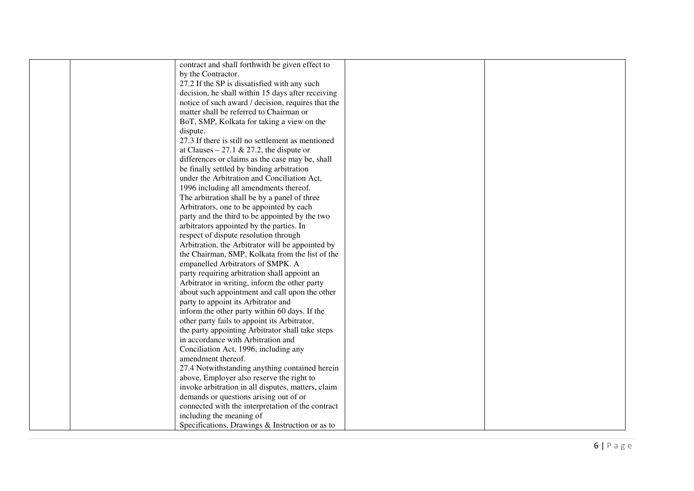| contract and shall forthwith be given effect to    |  |
|----------------------------------------------------|--|
| by the Contractor.                                 |  |
| 27.2 If the SP is dissatisfied with any such       |  |
| decision, he shall within 15 days after receiving  |  |
| notice of such award / decision, requires that the |  |
| matter shall be referred to Chairman or            |  |
|                                                    |  |
| BoT, SMP, Kolkata for taking a view on the         |  |
| dispute.                                           |  |
| 27.3 If there is still no settlement as mentioned  |  |
| at Clauses – 27.1 & 27.2, the dispute or           |  |
| differences or claims as the case may be, shall    |  |
| be finally settled by binding arbitration          |  |
| under the Arbitration and Conciliation Act,        |  |
| 1996 including all amendments thereof.             |  |
| The arbitration shall be by a panel of three       |  |
| Arbitrators, one to be appointed by each           |  |
| party and the third to be appointed by the two     |  |
| arbitrators appointed by the parties. In           |  |
| respect of dispute resolution through              |  |
| Arbitration, the Arbitrator will be appointed by   |  |
| the Chairman, SMP, Kolkata from the list of the    |  |
| empanelled Arbitrators of SMPK. A                  |  |
| party requiring arbitration shall appoint an       |  |
| Arbitrator in writing, inform the other party      |  |
| about such appointment and call upon the other     |  |
| party to appoint its Arbitrator and                |  |
| inform the other party within 60 days. If the      |  |
| other party fails to appoint its Arbitrator,       |  |
| the party appointing Arbitrator shall take steps   |  |
| in accordance with Arbitration and                 |  |
| Conciliation Act, 1996, including any              |  |
| amendment thereof.                                 |  |
| 27.4 Notwithstanding anything contained herein     |  |
| above, Employer also reserve the right to          |  |
| invoke arbitration in all disputes, matters, claim |  |
| demands or questions arising out of or             |  |
| connected with the interpretation of the contract  |  |
| including the meaning of                           |  |
| Specifications, Drawings & Instruction or as to    |  |
|                                                    |  |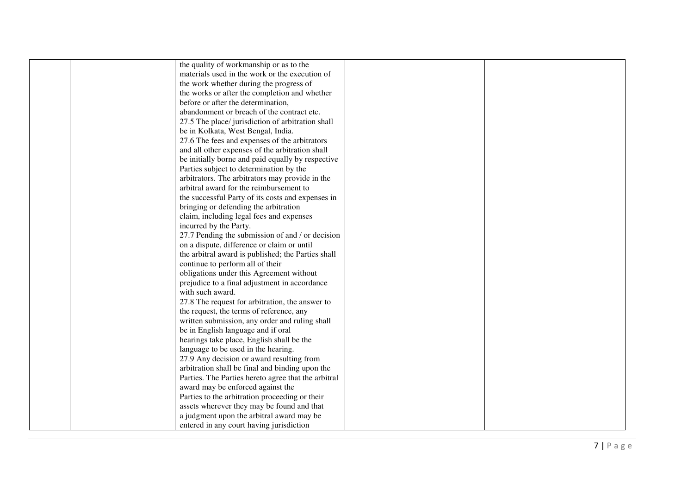| the quality of workmanship or as to the             |  |
|-----------------------------------------------------|--|
| materials used in the work or the execution of      |  |
| the work whether during the progress of             |  |
|                                                     |  |
| the works or after the completion and whether       |  |
| before or after the determination,                  |  |
| abandonment or breach of the contract etc.          |  |
| 27.5 The place/ jurisdiction of arbitration shall   |  |
| be in Kolkata, West Bengal, India.                  |  |
| 27.6 The fees and expenses of the arbitrators       |  |
| and all other expenses of the arbitration shall     |  |
| be initially borne and paid equally by respective   |  |
| Parties subject to determination by the             |  |
| arbitrators. The arbitrators may provide in the     |  |
| arbitral award for the reimbursement to             |  |
| the successful Party of its costs and expenses in   |  |
| bringing or defending the arbitration               |  |
| claim, including legal fees and expenses            |  |
| incurred by the Party.                              |  |
| 27.7 Pending the submission of and / or decision    |  |
| on a dispute, difference or claim or until          |  |
| the arbitral award is published; the Parties shall  |  |
| continue to perform all of their                    |  |
| obligations under this Agreement without            |  |
| prejudice to a final adjustment in accordance       |  |
| with such award.                                    |  |
| 27.8 The request for arbitration, the answer to     |  |
| the request, the terms of reference, any            |  |
| written submission, any order and ruling shall      |  |
| be in English language and if oral                  |  |
| hearings take place, English shall be the           |  |
| language to be used in the hearing.                 |  |
| 27.9 Any decision or award resulting from           |  |
| arbitration shall be final and binding upon the     |  |
| Parties. The Parties hereto agree that the arbitral |  |
| award may be enforced against the                   |  |
| Parties to the arbitration proceeding or their      |  |
| assets wherever they may be found and that          |  |
| a judgment upon the arbitral award may be           |  |
| entered in any court having jurisdiction            |  |
|                                                     |  |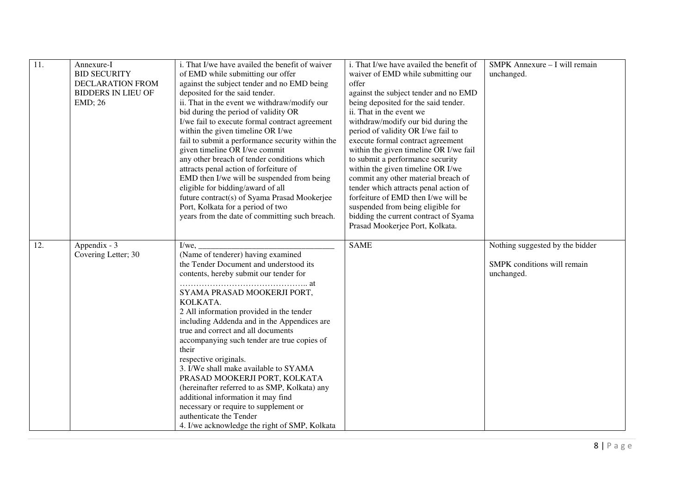| 11. | Annexure-I<br><b>BID SECURITY</b><br>DECLARATION FROM<br><b>BIDDERS IN LIEU OF</b><br><b>EMD</b> ; 26 | i. That I/we have availed the benefit of waiver<br>of EMD while submitting our offer<br>against the subject tender and no EMD being<br>deposited for the said tender.<br>ii. That in the event we withdraw/modify our<br>bid during the period of validity OR<br>I/we fail to execute formal contract agreement<br>within the given timeline OR I/we<br>fail to submit a performance security within the<br>given timeline OR I/we commit<br>any other breach of tender conditions which<br>attracts penal action of forfeiture of<br>EMD then I/we will be suspended from being<br>eligible for bidding/award of all<br>future contract(s) of Syama Prasad Mookerjee<br>Port, Kolkata for a period of two<br>years from the date of committing such breach. | i. That I/we have availed the benefit of<br>waiver of EMD while submitting our<br>offer<br>against the subject tender and no EMD<br>being deposited for the said tender.<br>ii. That in the event we<br>withdraw/modify our bid during the<br>period of validity OR I/we fail to<br>execute formal contract agreement<br>within the given timeline OR I/we fail<br>to submit a performance security<br>within the given timeline OR I/we<br>commit any other material breach of<br>tender which attracts penal action of<br>forfeiture of EMD then I/we will be<br>suspended from being eligible for<br>bidding the current contract of Syama<br>Prasad Mookerjee Port, Kolkata. | SMPK Annexure - I will remain<br>unchanged.                                  |
|-----|-------------------------------------------------------------------------------------------------------|--------------------------------------------------------------------------------------------------------------------------------------------------------------------------------------------------------------------------------------------------------------------------------------------------------------------------------------------------------------------------------------------------------------------------------------------------------------------------------------------------------------------------------------------------------------------------------------------------------------------------------------------------------------------------------------------------------------------------------------------------------------|----------------------------------------------------------------------------------------------------------------------------------------------------------------------------------------------------------------------------------------------------------------------------------------------------------------------------------------------------------------------------------------------------------------------------------------------------------------------------------------------------------------------------------------------------------------------------------------------------------------------------------------------------------------------------------|------------------------------------------------------------------------------|
| 12. | Appendix - 3<br>Covering Letter; 30                                                                   | $I/we$ ,<br>(Name of tenderer) having examined<br>the Tender Document and understood its<br>contents, hereby submit our tender for<br>SYAMA PRASAD MOOKERJI PORT,<br>KOLKATA.<br>2 All information provided in the tender<br>including Addenda and in the Appendices are<br>true and correct and all documents<br>accompanying such tender are true copies of<br>their<br>respective originals.<br>3. I/We shall make available to SYAMA<br>PRASAD MOOKERJI PORT, KOLKATA<br>(hereinafter referred to as SMP, Kolkata) any<br>additional information it may find<br>necessary or require to supplement or<br>authenticate the Tender<br>4. I/we acknowledge the right of SMP, Kolkata                                                                        | <b>SAME</b>                                                                                                                                                                                                                                                                                                                                                                                                                                                                                                                                                                                                                                                                      | Nothing suggested by the bidder<br>SMPK conditions will remain<br>unchanged. |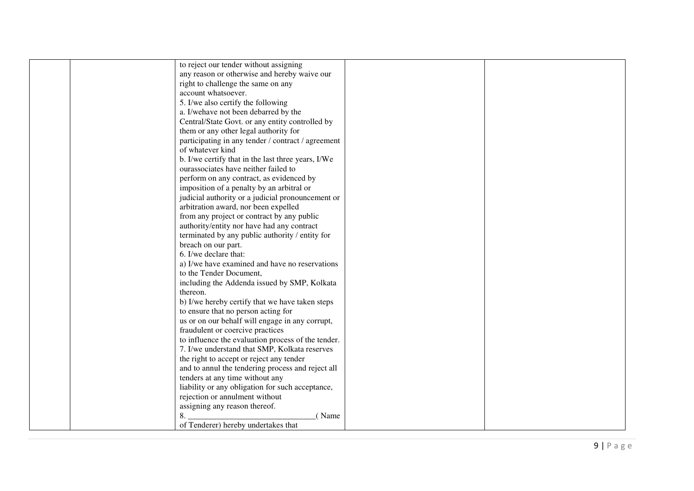| to reject our tender without assigning             |  |
|----------------------------------------------------|--|
| any reason or otherwise and hereby waive our       |  |
| right to challenge the same on any                 |  |
| account whatsoever.                                |  |
| 5. I/we also certify the following                 |  |
| a. I/wehave not been debarred by the               |  |
|                                                    |  |
| Central/State Govt. or any entity controlled by    |  |
| them or any other legal authority for              |  |
| participating in any tender / contract / agreement |  |
| of whatever kind                                   |  |
| b. I/we certify that in the last three years, I/We |  |
| ourassociates have neither failed to               |  |
| perform on any contract, as evidenced by           |  |
| imposition of a penalty by an arbitral or          |  |
| judicial authority or a judicial pronouncement or  |  |
| arbitration award, nor been expelled               |  |
| from any project or contract by any public         |  |
| authority/entity nor have had any contract         |  |
| terminated by any public authority / entity for    |  |
| breach on our part.                                |  |
| 6. I/we declare that:                              |  |
| a) I/we have examined and have no reservations     |  |
| to the Tender Document,                            |  |
| including the Addenda issued by SMP, Kolkata       |  |
| thereon.                                           |  |
| b) I/we hereby certify that we have taken steps    |  |
| to ensure that no person acting for                |  |
| us or on our behalf will engage in any corrupt,    |  |
| fraudulent or coercive practices                   |  |
| to influence the evaluation process of the tender. |  |
| 7. I/we understand that SMP, Kolkata reserves      |  |
| the right to accept or reject any tender           |  |
| and to annul the tendering process and reject all  |  |
| tenders at any time without any                    |  |
| liability or any obligation for such acceptance,   |  |
| rejection or annulment without                     |  |
| assigning any reason thereof.                      |  |
| 8.<br>(Name                                        |  |
| of Tenderer) hereby undertakes that                |  |